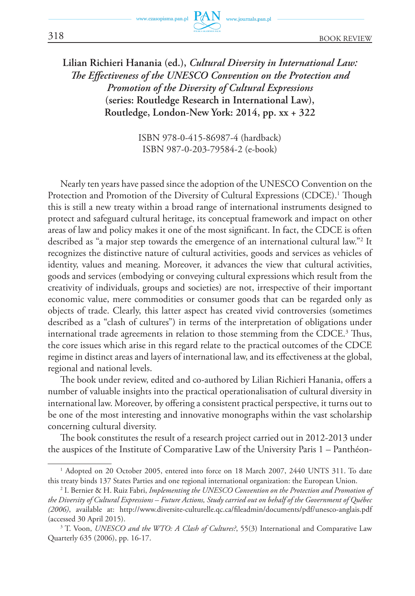

## **Lilian Richieri Hanania (ed.),** *Cultural Diversity in International Law: The Effectiveness of the UNESCO Convention on the Protection and Promotion of the Diversity of Cultural Expressions* **(series: Routledge Research in International Law), Routledge, London-New York: 2014, pp. xx + 322**

ISBN 978-0-415-86987-4 (hardback) ISBN 987-0-203-79584-2 (e-book)

Nearly ten years have passed since the adoption of the UNESCO Convention on the Protection and Promotion of the Diversity of Cultural Expressions (CDCE).<sup>1</sup> Though this is still a new treaty within a broad range of international instruments designed to protect and safeguard cultural heritage, its conceptual framework and impact on other areas of law and policy makes it one of the most significant. In fact, the CDCE is often described as "a major step towards the emergence of an international cultural law."<sup>2</sup> It recognizes the distinctive nature of cultural activities, goods and services as vehicles of identity, values and meaning. Moreover, it advances the view that cultural activities, goods and services (embodying or conveying cultural expressions which result from the creativity of individuals, groups and societies) are not, irrespective of their important economic value, mere commodities or consumer goods that can be regarded only as objects of trade. Clearly, this latter aspect has created vivid controversies (sometimes described as a "clash of cultures") in terms of the interpretation of obligations under international trade agreements in relation to those stemming from the CDCE. 3 Thus, the core issues which arise in this regard relate to the practical outcomes of the CDCE regime in distinct areas and layers of international law, and its effectiveness at the global, regional and national levels.

The book under review, edited and co-authored by Lilian Richieri Hanania, offers a number of valuable insights into the practical operationalisation of cultural diversity in international law. Moreover, by offering a consistent practical perspective, it turns out to be one of the most interesting and innovative monographs within the vast scholarship concerning cultural diversity.

The book constitutes the result of a research project carried out in 2012-2013 under the auspices of the Institute of Comparative Law of the University Paris 1 – Panthéon-

<sup>1</sup> Adopted on 20 October 2005, entered into force on 18 March 2007, 2440 UNTS 311. To date this treaty binds 137 States Parties and one regional international organization: the European Union.

<sup>2</sup> I. Bernier & H. Ruiz Fabri, *Implementing the UNESCO Convention on the Protection and Promotion of the Diversity of Cultural Expressions – Future Actions, Study carried out on behalf of the Government of Québec (2006)*, available at: http://www.diversite-culturelle.qc.ca/fileadmin/documents/pdf/unesco-anglais.pdf (accessed 30 April 2015).

<sup>&</sup>lt;sup>3</sup> T. Voon, *UNESCO and the WTO: A Clash of Cultures?*, 55(3) International and Comparative Law Quarterly 635 (2006), pp. 16-17.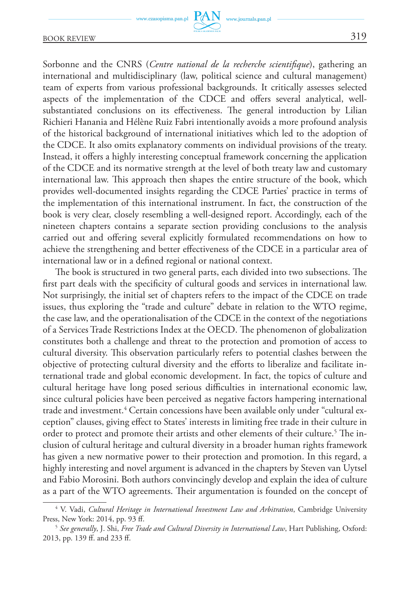## BOOK REVIEW 319

Sorbonne and the CNRS (*Centre national de la recherche scientifique*), gathering an international and multidisciplinary (law, political science and cultural management) team of experts from various professional backgrounds. It critically assesses selected aspects of the implementation of the CDCE and offers several analytical, wellsubstantiated conclusions on its effectiveness. The general introduction by Lilian Richieri Hanania and Hélène Ruiz Fabri intentionally avoids a more profound analysis of the historical background of international initiatives which led to the adoption of the CDCE. It also omits explanatory comments on individual provisions of the treaty. Instead, it offers a highly interesting conceptual framework concerning the application of the CDCE and its normative strength at the level of both treaty law and customary international law. This approach then shapes the entire structure of the book, which provides well-documented insights regarding the CDCE Parties' practice in terms of the implementation of this international instrument. In fact, the construction of the book is very clear, closely resembling a well-designed report. Accordingly, each of the nineteen chapters contains a separate section providing conclusions to the analysis carried out and offering several explicitly formulated recommendations on how to achieve the strengthening and better effectiveness of the CDCE in a particular area of international law or in a defined regional or national context.

The book is structured in two general parts, each divided into two subsections. The first part deals with the specificity of cultural goods and services in international law. Not surprisingly, the initial set of chapters refers to the impact of the CDCE on trade issues, thus exploring the "trade and culture" debate in relation to the WTO regime, the case law, and the operationalisation of the CDCE in the context of the negotiations of a Services Trade Restrictions Index at the OECD. The phenomenon of globalization constitutes both a challenge and threat to the protection and promotion of access to cultural diversity. This observation particularly refers to potential clashes between the objective of protecting cultural diversity and the efforts to liberalize and facilitate international trade and global economic development. In fact, the topics of culture and cultural heritage have long posed serious difficulties in international economic law, since cultural policies have been perceived as negative factors hampering international trade and investment.<sup>4</sup> Certain concessions have been available only under "cultural exception" clauses, giving effect to States' interests in limiting free trade in their culture in order to protect and promote their artists and other elements of their culture.<sup>5</sup> The inclusion of cultural heritage and cultural diversity in a broader human rights framework has given a new normative power to their protection and promotion. In this regard, a highly interesting and novel argument is advanced in the chapters by Steven van Uytsel and Fabio Morosini. Both authors convincingly develop and explain the idea of culture as a part of the WTO agreements. Their argumentation is founded on the concept of

<sup>&</sup>lt;sup>4</sup> V. Vadi, *Cultural Heritage in International Investment Law and Arbitration*, Cambridge University Press, New York: 2014, pp. 93 ff.

*See generally*, J. Shi, *Free Trade and Cultural Diversity in International Law*, Hart Publishing, Oxford: 2013, pp. 139 ff. and 233 ff.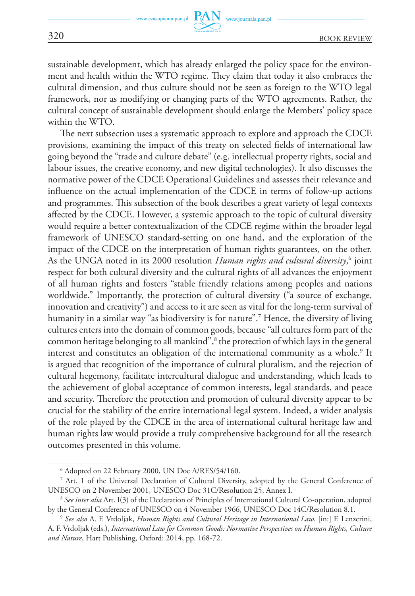www.journals.pan.pl

sustainable development, which has already enlarged the policy space for the environment and health within the WTO regime. They claim that today it also embraces the cultural dimension, and thus culture should not be seen as foreign to the WTO legal framework, nor as modifying or changing parts of the WTO agreements. Rather, the cultural concept of sustainable development should enlarge the Members' policy space within the WTO.

The next subsection uses a systematic approach to explore and approach the CDCE provisions, examining the impact of this treaty on selected fields of international law going beyond the "trade and culture debate" (e.g. intellectual property rights, social and labour issues, the creative economy, and new digital technologies). It also discusses the normative power of the CDCE Operational Guidelines and assesses their relevance and influence on the actual implementation of the CDCE in terms of follow-up actions and programmes. This subsection of the book describes a great variety of legal contexts affected by the CDCE. However, a systemic approach to the topic of cultural diversity would require a better contextualization of the CDCE regime within the broader legal framework of UNESCO standard-setting on one hand, and the exploration of the impact of the CDCE on the interpretation of human rights guarantees, on the other. As the UNGA noted in its 2000 resolution *Human rights and cultural diversity*,<sup>6</sup> joint respect for both cultural diversity and the cultural rights of all advances the enjoyment of all human rights and fosters "stable friendly relations among peoples and nations worldwide." Importantly, the protection of cultural diversity ("a source of exchange, innovation and creativity") and access to it are seen as vital for the long-term survival of humanity in a similar way "as biodiversity is for nature".<sup>7</sup> Hence, the diversity of living cultures enters into the domain of common goods, because "all cultures form part of the common heritage belonging to all mankind",<sup>8</sup> the protection of which lays in the general interest and constitutes an obligation of the international community as a whole.<sup>9</sup> It is argued that recognition of the importance of cultural pluralism, and the rejection of cultural hegemony, facilitate intercultural dialogue and understanding, which leads to the achievement of global acceptance of common interests, legal standards, and peace and security. Therefore the protection and promotion of cultural diversity appear to be crucial for the stability of the entire international legal system. Indeed, a wider analysis of the role played by the CDCE in the area of international cultural heritage law and human rights law would provide a truly comprehensive background for all the research outcomes presented in this volume.

<sup>6</sup> Adopted on 22 February 2000, UN Doc A/RES/54/160.

<sup>7</sup> Art. 1 of the Universal Declaration of Cultural Diversity, adopted by the General Conference of UNESCO on 2 November 2001, UNESCO Doc 31C/Resolution 25, Annex I.

<sup>8</sup>  *See inter alia* Art. I(3) of the Declaration of Principles of International Cultural Co-operation, adopted by the General Conference of UNESCO on 4 November 1966, UNESCO Doc 14C/Resolution 8.1.

<sup>9</sup>  *See also* A. F. Vrdoljak, *Human Rights and Cultural Heritage in International Law*, [in:] F. Lenzerini, A. F. Vrdoljak (eds.), *International Law for Common Goods: Normative Perspectives on Human Rights, Culture and Nature*, Hart Publishing, Oxford: 2014, pp. 168-72.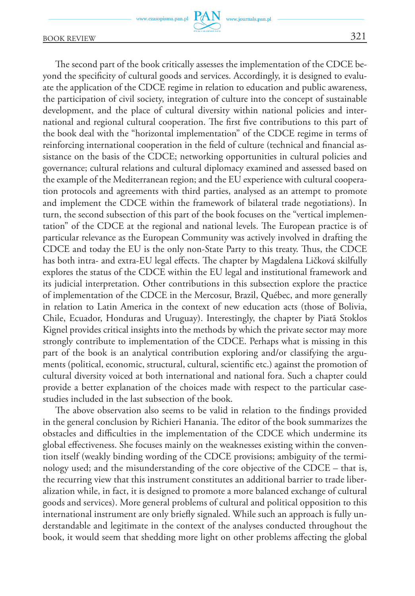BOOK REVIEW 321

The second part of the book critically assesses the implementation of the CDCE beyond the specificity of cultural goods and services. Accordingly, it is designed to evaluate the application of the CDCE regime in relation to education and public awareness, the participation of civil society, integration of culture into the concept of sustainable development, and the place of cultural diversity within national policies and international and regional cultural cooperation. The first five contributions to this part of the book deal with the "horizontal implementation" of the CDCE regime in terms of reinforcing international cooperation in the field of culture (technical and financial assistance on the basis of the CDCE; networking opportunities in cultural policies and governance; cultural relations and cultural diplomacy examined and assessed based on the example of the Mediterranean region; and the EU experience with cultural cooperation protocols and agreements with third parties, analysed as an attempt to promote and implement the CDCE within the framework of bilateral trade negotiations). In turn, the second subsection of this part of the book focuses on the "vertical implementation" of the CDCE at the regional and national levels. The European practice is of particular relevance as the European Community was actively involved in drafting the CDCE and today the EU is the only non-State Party to this treaty. Thus, the CDCE has both intra- and extra-EU legal effects. The chapter by Magdalena Ličková skilfully explores the status of the CDCE within the EU legal and institutional framework and its judicial interpretation. Other contributions in this subsection explore the practice of implementation of the CDCE in the Mercosur, Brazil, Québec, and more generally in relation to Latin America in the context of new education acts (those of Bolivia, Chile, Ecuador, Honduras and Uruguay). Interestingly, the chapter by Piatã Stoklos Kignel provides critical insights into the methods by which the private sector may more strongly contribute to implementation of the CDCE. Perhaps what is missing in this part of the book is an analytical contribution exploring and/or classifying the arguments (political, economic, structural, cultural, scientific etc.) against the promotion of cultural diversity voiced at both international and national fora. Such a chapter could provide a better explanation of the choices made with respect to the particular casestudies included in the last subsection of the book.

www.journals.pan.pl

The above observation also seems to be valid in relation to the findings provided in the general conclusion by Richieri Hanania. The editor of the book summarizes the obstacles and difficulties in the implementation of the CDCE which undermine its global effectiveness. She focuses mainly on the weaknesses existing within the convention itself (weakly binding wording of the CDCE provisions; ambiguity of the terminology used; and the misunderstanding of the core objective of the CDCE – that is, the recurring view that this instrument constitutes an additional barrier to trade liberalization while, in fact, it is designed to promote a more balanced exchange of cultural goods and services). More general problems of cultural and political opposition to this international instrument are only briefly signaled. While such an approach is fully understandable and legitimate in the context of the analyses conducted throughout the book, it would seem that shedding more light on other problems affecting the global